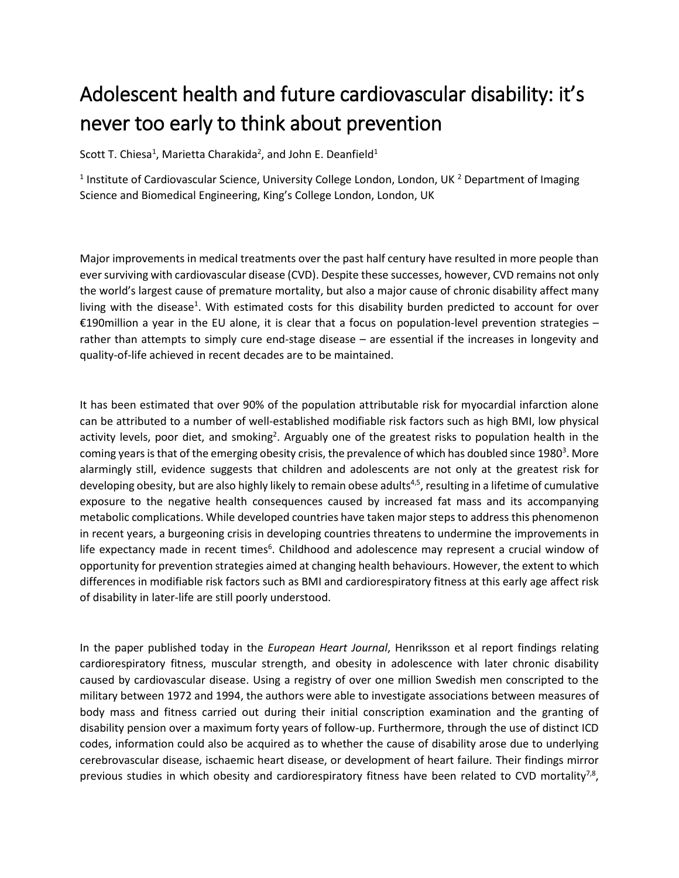## Adolescent health and future cardiovascular disability: it's never too early to think about prevention

Scott T. Chiesa<sup>1</sup>, Marietta Charakida<sup>2</sup>, and John E. Deanfield<sup>1</sup>

<sup>1</sup> Institute of Cardiovascular Science, University College London, London, UK <sup>2</sup> Department of Imaging Science and Biomedical Engineering, King's College London, London, UK

Major improvements in medical treatments over the past half century have resulted in more people than ever surviving with cardiovascular disease (CVD). Despite these successes, however, CVD remains not only the world's largest cause of premature mortality, but also a major cause of chronic disability affect many living with the disease<sup>1</sup>. With estimated costs for this disability burden predicted to account for over €190million a year in the EU alone, it is clear that a focus on population-level prevention strategies  $$ rather than attempts to simply cure end-stage disease – are essential if the increases in longevity and quality-of-life achieved in recent decades are to be maintained.

It has been estimated that over 90% of the population attributable risk for myocardial infarction alone can be attributed to a number of well-established modifiable risk factors such as high BMI, low physical activity levels, poor diet, and smoking<sup>2</sup>. Arguably one of the greatest risks to population health in the coming years is that of the emerging obesity crisis, the prevalence of which has doubled since 1980<sup>3</sup>. More alarmingly still, evidence suggests that children and adolescents are not only at the greatest risk for developing obesity, but are also highly likely to remain obese adults<sup>4,5</sup>, resulting in a lifetime of cumulative exposure to the negative health consequences caused by increased fat mass and its accompanying metabolic complications. While developed countries have taken major steps to address this phenomenon in recent years, a burgeoning crisis in developing countries threatens to undermine the improvements in life expectancy made in recent times<sup>6</sup>. Childhood and adolescence may represent a crucial window of opportunity for prevention strategies aimed at changing health behaviours. However, the extent to which differences in modifiable risk factors such as BMI and cardiorespiratory fitness at this early age affect risk of disability in later-life are still poorly understood.

In the paper published today in the *European Heart Journal*, Henriksson et al report findings relating cardiorespiratory fitness, muscular strength, and obesity in adolescence with later chronic disability caused by cardiovascular disease. Using a registry of over one million Swedish men conscripted to the military between 1972 and 1994, the authors were able to investigate associations between measures of body mass and fitness carried out during their initial conscription examination and the granting of disability pension over a maximum forty years of follow-up. Furthermore, through the use of distinct ICD codes, information could also be acquired as to whether the cause of disability arose due to underlying cerebrovascular disease, ischaemic heart disease, or development of heart failure. Their findings mirror previous studies in which obesity and cardiorespiratory fitness have been related to CVD mortality<sup>7,8</sup>,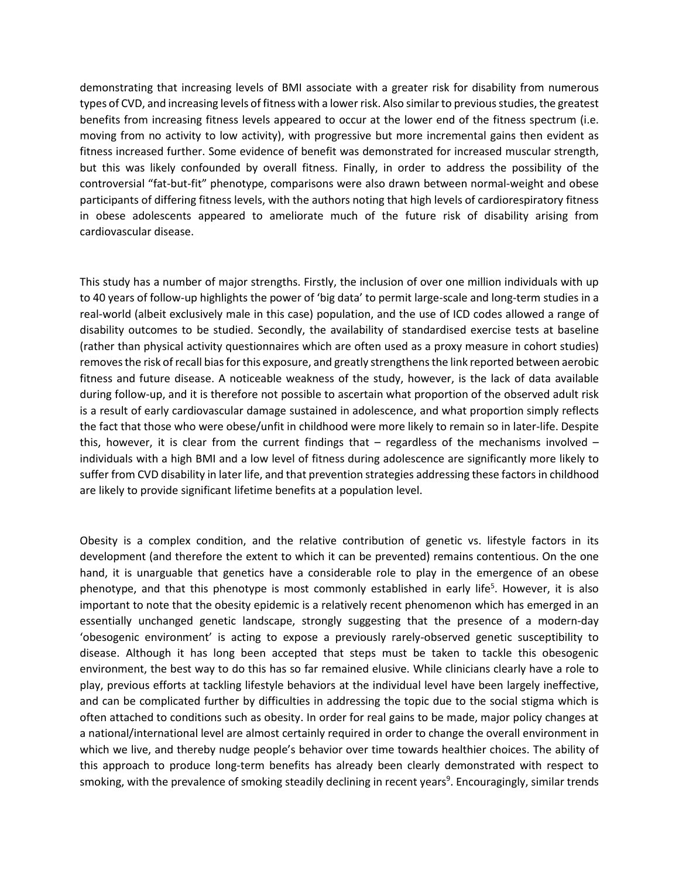demonstrating that increasing levels of BMI associate with a greater risk for disability from numerous types of CVD, and increasing levels of fitness with a lowerrisk. Also similar to previous studies, the greatest benefits from increasing fitness levels appeared to occur at the lower end of the fitness spectrum (i.e. moving from no activity to low activity), with progressive but more incremental gains then evident as fitness increased further. Some evidence of benefit was demonstrated for increased muscular strength, but this was likely confounded by overall fitness. Finally, in order to address the possibility of the controversial "fat-but-fit" phenotype, comparisons were also drawn between normal-weight and obese participants of differing fitness levels, with the authors noting that high levels of cardiorespiratory fitness in obese adolescents appeared to ameliorate much of the future risk of disability arising from cardiovascular disease.

This study has a number of major strengths. Firstly, the inclusion of over one million individuals with up to 40 years of follow-up highlights the power of 'big data' to permit large-scale and long-term studies in a real-world (albeit exclusively male in this case) population, and the use of ICD codes allowed a range of disability outcomes to be studied. Secondly, the availability of standardised exercise tests at baseline (rather than physical activity questionnaires which are often used as a proxy measure in cohort studies) removes the risk of recall bias for this exposure, and greatly strengthens the link reported between aerobic fitness and future disease. A noticeable weakness of the study, however, is the lack of data available during follow-up, and it is therefore not possible to ascertain what proportion of the observed adult risk is a result of early cardiovascular damage sustained in adolescence, and what proportion simply reflects the fact that those who were obese/unfit in childhood were more likely to remain so in later-life. Despite this, however, it is clear from the current findings that – regardless of the mechanisms involved – individuals with a high BMI and a low level of fitness during adolescence are significantly more likely to suffer from CVD disability in later life, and that prevention strategies addressing these factors in childhood are likely to provide significant lifetime benefits at a population level.

Obesity is a complex condition, and the relative contribution of genetic vs. lifestyle factors in its development (and therefore the extent to which it can be prevented) remains contentious. On the one hand, it is unarguable that genetics have a considerable role to play in the emergence of an obese phenotype, and that this phenotype is most commonly established in early life<sup>5</sup>. However, it is also important to note that the obesity epidemic is a relatively recent phenomenon which has emerged in an essentially unchanged genetic landscape, strongly suggesting that the presence of a modern-day 'obesogenic environment' is acting to expose a previously rarely-observed genetic susceptibility to disease. Although it has long been accepted that steps must be taken to tackle this obesogenic environment, the best way to do this has so far remained elusive. While clinicians clearly have a role to play, previous efforts at tackling lifestyle behaviors at the individual level have been largely ineffective, and can be complicated further by difficulties in addressing the topic due to the social stigma which is often attached to conditions such as obesity. In order for real gains to be made, major policy changes at a national/international level are almost certainly required in order to change the overall environment in which we live, and thereby nudge people's behavior over time towards healthier choices. The ability of this approach to produce long-term benefits has already been clearly demonstrated with respect to smoking, with the prevalence of smoking steadily declining in recent years<sup>9</sup>. Encouragingly, similar trends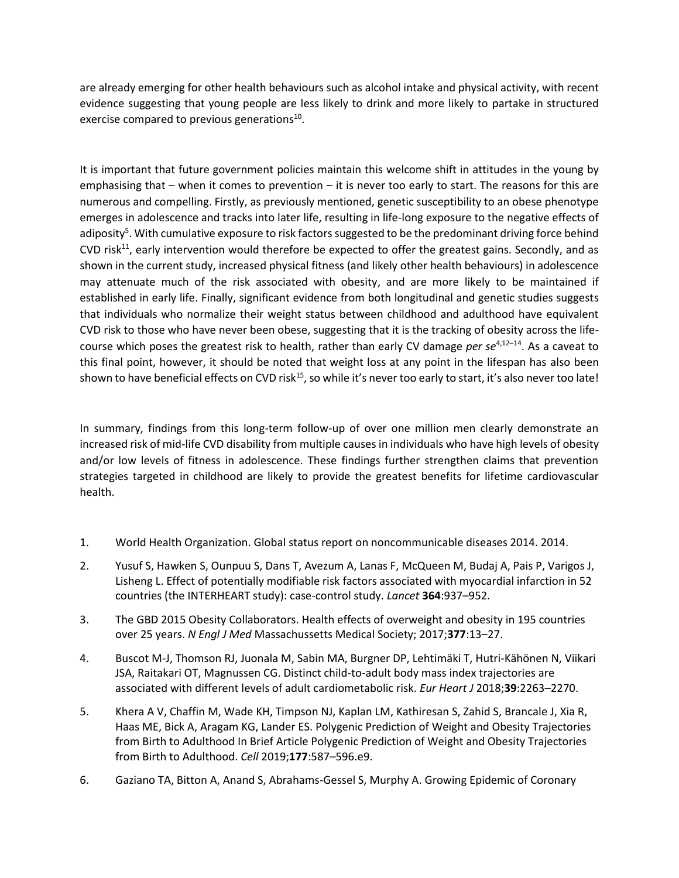are already emerging for other health behaviours such as alcohol intake and physical activity, with recent evidence suggesting that young people are less likely to drink and more likely to partake in structured exercise compared to previous generations<sup>10</sup>.

It is important that future government policies maintain this welcome shift in attitudes in the young by emphasising that – when it comes to prevention – it is never too early to start. The reasons for this are numerous and compelling. Firstly, as previously mentioned, genetic susceptibility to an obese phenotype emerges in adolescence and tracks into later life, resulting in life-long exposure to the negative effects of adiposity<sup>5</sup>. With cumulative exposure to risk factors suggested to be the predominant driving force behind CVD risk $^{11}$ , early intervention would therefore be expected to offer the greatest gains. Secondly, and as shown in the current study, increased physical fitness (and likely other health behaviours) in adolescence may attenuate much of the risk associated with obesity, and are more likely to be maintained if established in early life. Finally, significant evidence from both longitudinal and genetic studies suggests that individuals who normalize their weight status between childhood and adulthood have equivalent CVD risk to those who have never been obese, suggesting that it is the tracking of obesity across the lifecourse which poses the greatest risk to health, rather than early CV damage *per se*4,12–<sup>14</sup>. As a caveat to this final point, however, it should be noted that weight loss at any point in the lifespan has also been shown to have beneficial effects on CVD risk<sup>15</sup>, so while it's never too early to start, it's also never too late!

In summary, findings from this long-term follow-up of over one million men clearly demonstrate an increased risk of mid-life CVD disability from multiple causes in individuals who have high levels of obesity and/or low levels of fitness in adolescence. These findings further strengthen claims that prevention strategies targeted in childhood are likely to provide the greatest benefits for lifetime cardiovascular health.

- 1. World Health Organization. Global status report on noncommunicable diseases 2014. 2014.
- 2. Yusuf S, Hawken S, Ounpuu S, Dans T, Avezum A, Lanas F, McQueen M, Budaj A, Pais P, Varigos J, Lisheng L. Effect of potentially modifiable risk factors associated with myocardial infarction in 52 countries (the INTERHEART study): case-control study. *Lancet* **364**:937–952.
- 3. The GBD 2015 Obesity Collaborators. Health effects of overweight and obesity in 195 countries over 25 years. *N Engl J Med* Massachussetts Medical Society; 2017;**377**:13–27.
- 4. Buscot M-J, Thomson RJ, Juonala M, Sabin MA, Burgner DP, Lehtimäki T, Hutri-Kähönen N, Viikari JSA, Raitakari OT, Magnussen CG. Distinct child-to-adult body mass index trajectories are associated with different levels of adult cardiometabolic risk. *Eur Heart J* 2018;**39**:2263–2270.
- 5. Khera A V, Chaffin M, Wade KH, Timpson NJ, Kaplan LM, Kathiresan S, Zahid S, Brancale J, Xia R, Haas ME, Bick A, Aragam KG, Lander ES. Polygenic Prediction of Weight and Obesity Trajectories from Birth to Adulthood In Brief Article Polygenic Prediction of Weight and Obesity Trajectories from Birth to Adulthood. *Cell* 2019;**177**:587–596.e9.
- 6. Gaziano TA, Bitton A, Anand S, Abrahams-Gessel S, Murphy A. Growing Epidemic of Coronary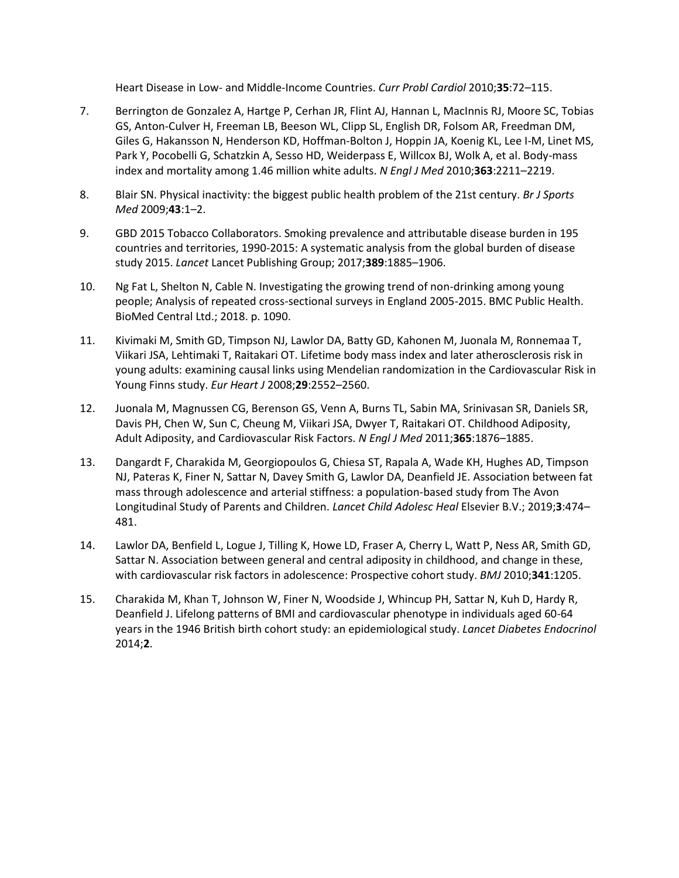Heart Disease in Low- and Middle-Income Countries. *Curr Probl Cardiol* 2010;**35**:72–115.

- 7. Berrington de Gonzalez A, Hartge P, Cerhan JR, Flint AJ, Hannan L, MacInnis RJ, Moore SC, Tobias GS, Anton-Culver H, Freeman LB, Beeson WL, Clipp SL, English DR, Folsom AR, Freedman DM, Giles G, Hakansson N, Henderson KD, Hoffman-Bolton J, Hoppin JA, Koenig KL, Lee I-M, Linet MS, Park Y, Pocobelli G, Schatzkin A, Sesso HD, Weiderpass E, Willcox BJ, Wolk A, et al. Body-mass index and mortality among 1.46 million white adults. *N Engl J Med* 2010;**363**:2211–2219.
- 8. Blair SN. Physical inactivity: the biggest public health problem of the 21st century. *Br J Sports Med* 2009;**43**:1–2.
- 9. GBD 2015 Tobacco Collaborators. Smoking prevalence and attributable disease burden in 195 countries and territories, 1990-2015: A systematic analysis from the global burden of disease study 2015. *Lancet* Lancet Publishing Group; 2017;**389**:1885–1906.
- 10. Ng Fat L, Shelton N, Cable N. Investigating the growing trend of non-drinking among young people; Analysis of repeated cross-sectional surveys in England 2005-2015. BMC Public Health. BioMed Central Ltd.; 2018. p. 1090.
- 11. Kivimaki M, Smith GD, Timpson NJ, Lawlor DA, Batty GD, Kahonen M, Juonala M, Ronnemaa T, Viikari JSA, Lehtimaki T, Raitakari OT. Lifetime body mass index and later atherosclerosis risk in young adults: examining causal links using Mendelian randomization in the Cardiovascular Risk in Young Finns study. *Eur Heart J* 2008;**29**:2552–2560.
- 12. Juonala M, Magnussen CG, Berenson GS, Venn A, Burns TL, Sabin MA, Srinivasan SR, Daniels SR, Davis PH, Chen W, Sun C, Cheung M, Viikari JSA, Dwyer T, Raitakari OT. Childhood Adiposity, Adult Adiposity, and Cardiovascular Risk Factors. *N Engl J Med* 2011;**365**:1876–1885.
- 13. Dangardt F, Charakida M, Georgiopoulos G, Chiesa ST, Rapala A, Wade KH, Hughes AD, Timpson NJ, Pateras K, Finer N, Sattar N, Davey Smith G, Lawlor DA, Deanfield JE. Association between fat mass through adolescence and arterial stiffness: a population-based study from The Avon Longitudinal Study of Parents and Children. *Lancet Child Adolesc Heal* Elsevier B.V.; 2019;**3**:474– 481.
- 14. Lawlor DA, Benfield L, Logue J, Tilling K, Howe LD, Fraser A, Cherry L, Watt P, Ness AR, Smith GD, Sattar N. Association between general and central adiposity in childhood, and change in these, with cardiovascular risk factors in adolescence: Prospective cohort study. *BMJ* 2010;**341**:1205.
- 15. Charakida M, Khan T, Johnson W, Finer N, Woodside J, Whincup PH, Sattar N, Kuh D, Hardy R, Deanfield J. Lifelong patterns of BMI and cardiovascular phenotype in individuals aged 60-64 years in the 1946 British birth cohort study: an epidemiological study. *Lancet Diabetes Endocrinol* 2014;**2**.